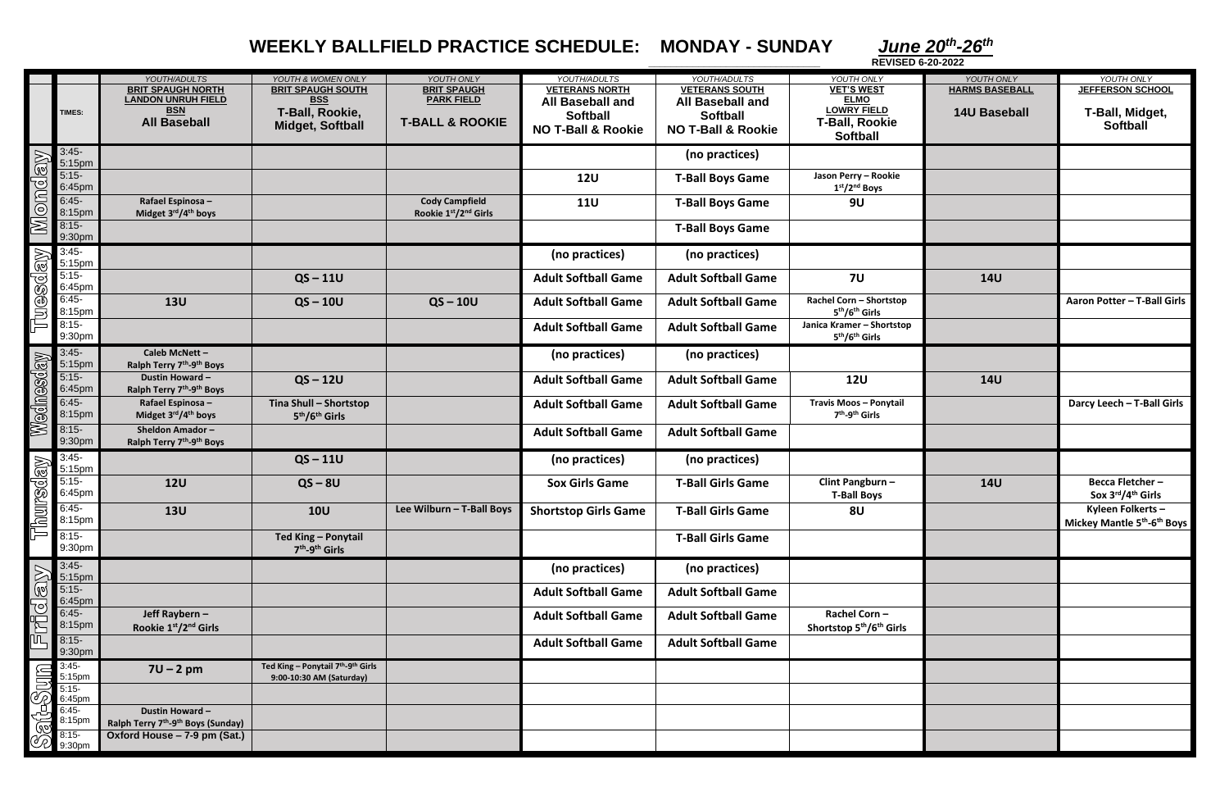*-26th*

## **WEEKLY BALLFIELD PRACTICE SCHEDULE: MONDAY - SUNDAY**

**HARMS BASEBALL 14U Baseball JEFFERSON SCHOOL T-Ball, Midget, Softball Aaron Potter – T-Ball Girls Darcy Leech – T-Ball Girls 14U Becca Fletcher – Sox 3 rd /4 th Girls Mickey Mantle 5 th -6 th Boys**

|                 |                                                                          | YOUTH/ADULTS                                               | YOUTH & WOMEN ONLY                     | YOUTH ONLY                 | YOUTH/ADULTS                  | YOUTH/ADULTS                  | YOUTH ONLY                                       | YOUTH ONLY            | YOUTH ONLY                    |
|-----------------|--------------------------------------------------------------------------|------------------------------------------------------------|----------------------------------------|----------------------------|-------------------------------|-------------------------------|--------------------------------------------------|-----------------------|-------------------------------|
|                 |                                                                          | <b>BRIT SPAUGH NORTH</b>                                   | <b>BRIT SPAUGH SOUTH</b>               | <b>BRIT SPAUGH</b>         | <b>VETERANS NORTH</b>         | <b>VETERANS SOUTH</b>         | <b>VET'S WEST</b>                                | <b>HARMS BASEBALL</b> | <b>JEFFERSON SCHOO</b>        |
|                 |                                                                          | <b>LANDON UNRUH FIELD</b>                                  | <b>BSS</b>                             | <b>PARK FIELD</b>          | <b>All Baseball and</b>       | <b>All Baseball and</b>       | <b>ELMO</b>                                      |                       |                               |
|                 | TIMES:                                                                   | <b>BSN</b>                                                 | T-Ball, Rookie,                        |                            | <b>Softball</b>               | <b>Softball</b>               | <b>LOWRY FIELD</b>                               | <b>14U Baseball</b>   | <b>T-Ball, Midget</b>         |
|                 |                                                                          | <b>All Baseball</b>                                        | <b>Midget, Softball</b>                | <b>T-BALL &amp; ROOKIE</b> | <b>NO T-Ball &amp; Rookie</b> | <b>NO T-Ball &amp; Rookie</b> | <b>T-Ball, Rookie</b>                            |                       | <b>Softball</b>               |
|                 |                                                                          |                                                            |                                        |                            |                               |                               | <b>Softball</b>                                  |                       |                               |
|                 | $3:45-$                                                                  |                                                            |                                        |                            |                               | (no practices)                |                                                  |                       |                               |
| Monday          | 5:15pm                                                                   |                                                            |                                        |                            |                               |                               |                                                  |                       |                               |
|                 | $5:15-$                                                                  |                                                            |                                        |                            | <b>12U</b>                    | <b>T-Ball Boys Game</b>       | Jason Perry - Rookie                             |                       |                               |
|                 | 6:45pm                                                                   |                                                            |                                        |                            |                               |                               | 1st/2 <sup>nd</sup> Boys                         |                       |                               |
|                 | $6:45-$                                                                  | Rafael Espinosa -                                          |                                        | <b>Cody Campfield</b>      | <b>11U</b>                    | <b>T-Ball Boys Game</b>       | <b>9U</b>                                        |                       |                               |
|                 | 8:15pm                                                                   | Midget 3rd/4th boys                                        |                                        | Rookie 1st/2nd Girls       |                               |                               |                                                  |                       |                               |
|                 | $8:15-$                                                                  |                                                            |                                        |                            |                               | <b>T-Ball Boys Game</b>       |                                                  |                       |                               |
|                 | 9:30pm                                                                   |                                                            |                                        |                            |                               |                               |                                                  |                       |                               |
|                 | $3:45-$                                                                  |                                                            |                                        |                            | (no practices)                | (no practices)                |                                                  |                       |                               |
|                 | 5:15pm                                                                   |                                                            |                                        |                            |                               |                               |                                                  |                       |                               |
| <b>TUBSCLAY</b> | $5:15-$                                                                  |                                                            | $QS - 11U$                             |                            | <b>Adult Softball Game</b>    | <b>Adult Softball Game</b>    | <b>7U</b>                                        | <b>14U</b>            |                               |
|                 | 6:45pm                                                                   |                                                            |                                        |                            |                               |                               |                                                  |                       |                               |
|                 | $6:45-$                                                                  | <b>13U</b>                                                 | $QS - 10U$                             | $QS - 10U$                 | <b>Adult Softball Game</b>    | <b>Adult Softball Game</b>    | Rachel Corn - Shortstop                          |                       | Aaron Potter - T-Ball         |
|                 | 8:15pm                                                                   |                                                            |                                        |                            |                               |                               | 5 <sup>th</sup> /6 <sup>th</sup> Girls           |                       |                               |
|                 | $8:15-$                                                                  |                                                            |                                        |                            | <b>Adult Softball Game</b>    | <b>Adult Softball Game</b>    | Janica Kramer - Shortstop                        |                       |                               |
|                 | 9:30pm                                                                   |                                                            |                                        |                            |                               |                               | 5 <sup>th</sup> /6 <sup>th</sup> Girls           |                       |                               |
|                 | $3:45-$                                                                  | Caleb McNett-                                              |                                        |                            | (no practices)                | (no practices)                |                                                  |                       |                               |
|                 | 5:15pm                                                                   | Ralph Terry 7 <sup>th</sup> -9 <sup>th</sup> Boys          |                                        |                            |                               |                               |                                                  |                       |                               |
|                 | $5:15-$                                                                  | <b>Dustin Howard-</b>                                      | $QS - 12U$                             |                            | <b>Adult Softball Game</b>    | <b>Adult Softball Game</b>    | <b>12U</b>                                       | <b>14U</b>            |                               |
|                 | 6:45pm                                                                   | Ralph Terry 7 <sup>th</sup> -9 <sup>th</sup> Boys          |                                        |                            |                               |                               |                                                  |                       |                               |
|                 | $6:45-$                                                                  | Rafael Espinosa -                                          | Tina Shull - Shortstop                 |                            | <b>Adult Softball Game</b>    | <b>Adult Softball Game</b>    | <b>Travis Moos - Ponytail</b>                    |                       | Darcy Leech - T-Ball          |
|                 | 8:15pm                                                                   | Midget 3rd/4 <sup>th</sup> boys                            | 5 <sup>th</sup> /6 <sup>th</sup> Girls |                            |                               |                               | 7 <sup>th</sup> -9 <sup>th</sup> Girls           |                       |                               |
| Wednesday       | $8:15-$                                                                  | <b>Sheldon Amador-</b>                                     |                                        |                            |                               |                               |                                                  |                       |                               |
|                 | 9:30pm                                                                   | Ralph Terry 7 <sup>th</sup> -9 <sup>th</sup> Boys          |                                        |                            | <b>Adult Softball Game</b>    | <b>Adult Softball Game</b>    |                                                  |                       |                               |
|                 |                                                                          |                                                            |                                        |                            |                               |                               |                                                  |                       |                               |
|                 | $3:45-$<br>3:45-<br>5:15pm<br>5:15-<br>5:15pm<br>5:15-<br>8:15-<br>8:15- |                                                            | $QS - 11U$                             |                            | (no practices)                | (no practices)                |                                                  |                       |                               |
|                 |                                                                          | <b>12U</b>                                                 | $QS - 8U$                              |                            | <b>Sox Girls Game</b>         | <b>T-Ball Girls Game</b>      | Clint Pangburn -                                 | <b>14U</b>            | <b>Becca Fletcher-</b>        |
|                 |                                                                          |                                                            |                                        |                            |                               |                               | <b>T-Ball Boys</b>                               |                       | Sox 3rd/4 <sup>th</sup> Girls |
|                 |                                                                          |                                                            |                                        |                            |                               |                               |                                                  |                       |                               |
|                 |                                                                          | <b>13U</b>                                                 | <b>10U</b>                             | Lee Wilburn - T-Ball Boys  | <b>Shortstop Girls Game</b>   | <b>T-Ball Girls Game</b>      | 8 <sub>U</sub>                                   |                       | Kyleen Folkerts-              |
|                 |                                                                          |                                                            |                                        |                            |                               |                               |                                                  |                       | Mickey Mantle 5th-6th         |
|                 | $8:15-$                                                                  |                                                            | Ted King - Ponytail                    |                            |                               | <b>T-Ball Girls Game</b>      |                                                  |                       |                               |
|                 | 9:30pm                                                                   |                                                            | 7 <sup>th</sup> -9 <sup>th</sup> Girls |                            |                               |                               |                                                  |                       |                               |
|                 | $3:45-$                                                                  |                                                            |                                        |                            | (no practices)                | (no practices)                |                                                  |                       |                               |
|                 | 5:15pm                                                                   |                                                            |                                        |                            |                               |                               |                                                  |                       |                               |
|                 | $5:15-$                                                                  |                                                            |                                        |                            | <b>Adult Softball Game</b>    | <b>Adult Softball Game</b>    |                                                  |                       |                               |
|                 | 6:45pm                                                                   |                                                            |                                        |                            |                               |                               |                                                  |                       |                               |
|                 | $6:45-$                                                                  | Jeff Raybern-                                              |                                        |                            | <b>Adult Softball Game</b>    | <b>Adult Softball Game</b>    | Rachel Corn-                                     |                       |                               |
| Friday          | 8:15pm                                                                   | Rookie 1st/2nd Girls                                       |                                        |                            |                               |                               | Shortstop 5 <sup>th</sup> /6 <sup>th</sup> Girls |                       |                               |
|                 | $8:15-$                                                                  |                                                            |                                        |                            | <b>Adult Softball Game</b>    | <b>Adult Softball Game</b>    |                                                  |                       |                               |
|                 | 9:30pm                                                                   |                                                            |                                        |                            |                               |                               |                                                  |                       |                               |
|                 | $3:45-$                                                                  | $7U - 2pm$                                                 | Ted King - Ponytail 7th-9th Girls      |                            |                               |                               |                                                  |                       |                               |
|                 |                                                                          |                                                            | 9:00-10:30 AM (Saturday)               |                            |                               |                               |                                                  |                       |                               |
|                 | 5:15pm<br>5:15-<br>6:45pm                                                |                                                            |                                        |                            |                               |                               |                                                  |                       |                               |
| Sat-Sum         | $6:45-$                                                                  | Dustin Howard-                                             |                                        |                            |                               |                               |                                                  |                       |                               |
|                 | 8:15pm                                                                   | Ralph Terry 7 <sup>th</sup> -9 <sup>th</sup> Boys (Sunday) |                                        |                            |                               |                               |                                                  |                       |                               |
|                 | $8:15-$                                                                  | Oxford House - 7-9 pm (Sat.)                               |                                        |                            |                               |                               |                                                  |                       |                               |
|                 | 9:30pm                                                                   |                                                            |                                        |                            |                               |                               |                                                  |                       |                               |